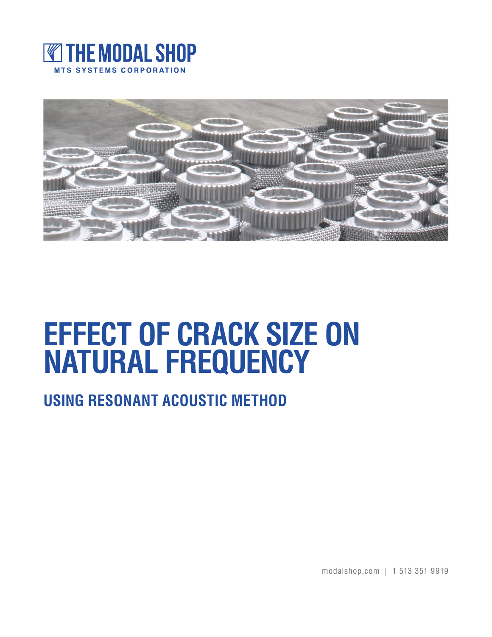



# **EFFECT OF CRACK SIZE ON NATURAL FREQUENCY**

## **USING RESONANT ACOUSTIC METHOD**

modalshop.com | 1 513 351 9919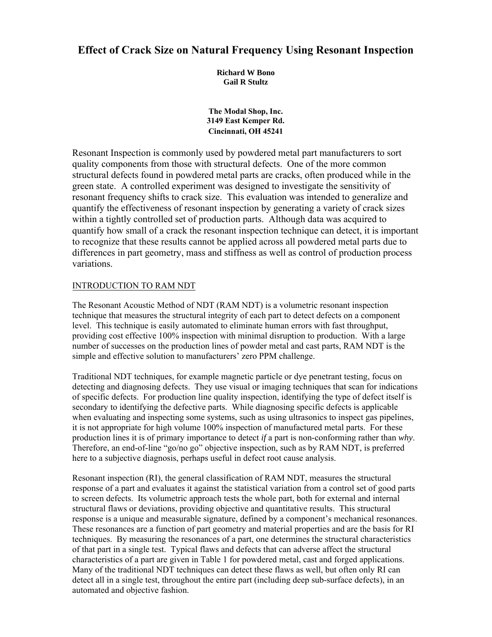## **Effect of Crack Size on Natural Frequency Using Resonant Inspection**

**Richard W Bono Gail R Stultz** 

**The Modal Shop, Inc. 3149 East Kemper Rd. Cincinnati, OH 45241**

Resonant Inspection is commonly used by powdered metal part manufacturers to sort quality components from those with structural defects. One of the more common structural defects found in powdered metal parts are cracks, often produced while in the green state. A controlled experiment was designed to investigate the sensitivity of resonant frequency shifts to crack size. This evaluation was intended to generalize and quantify the effectiveness of resonant inspection by generating a variety of crack sizes within a tightly controlled set of production parts. Although data was acquired to quantify how small of a crack the resonant inspection technique can detect, it is important to recognize that these results cannot be applied across all powdered metal parts due to differences in part geometry, mass and stiffness as well as control of production process variations.

## INTRODUCTION TO RAM NDT

The Resonant Acoustic Method of NDT (RAM NDT) is a volumetric resonant inspection technique that measures the structural integrity of each part to detect defects on a component level. This technique is easily automated to eliminate human errors with fast throughput, providing cost effective 100% inspection with minimal disruption to production. With a large number of successes on the production lines of powder metal and cast parts, RAM NDT is the simple and effective solution to manufacturers' zero PPM challenge.

Traditional NDT techniques, for example magnetic particle or dye penetrant testing, focus on detecting and diagnosing defects. They use visual or imaging techniques that scan for indications of specific defects. For production line quality inspection, identifying the type of defect itself is secondary to identifying the defective parts. While diagnosing specific defects is applicable when evaluating and inspecting some systems, such as using ultrasonics to inspect gas pipelines, it is not appropriate for high volume 100% inspection of manufactured metal parts. For these production lines it is of primary importance to detect *if* a part is non-conforming rather than *why*. Therefore, an end-of-line "go/no go" objective inspection, such as by RAM NDT, is preferred here to a subjective diagnosis, perhaps useful in defect root cause analysis.

Resonant inspection (RI), the general classification of RAM NDT, measures the structural response of a part and evaluates it against the statistical variation from a control set of good parts to screen defects. Its volumetric approach tests the whole part, both for external and internal structural flaws or deviations, providing objective and quantitative results. This structural response is a unique and measurable signature, defined by a component's mechanical resonances. These resonances are a function of part geometry and material properties and are the basis for RI techniques. By measuring the resonances of a part, one determines the structural characteristics of that part in a single test. Typical flaws and defects that can adverse affect the structural characteristics of a part are given in Table 1 for powdered metal, cast and forged applications. Many of the traditional NDT techniques can detect these flaws as well, but often only RI can detect all in a single test, throughout the entire part (including deep sub-surface defects), in an automated and objective fashion.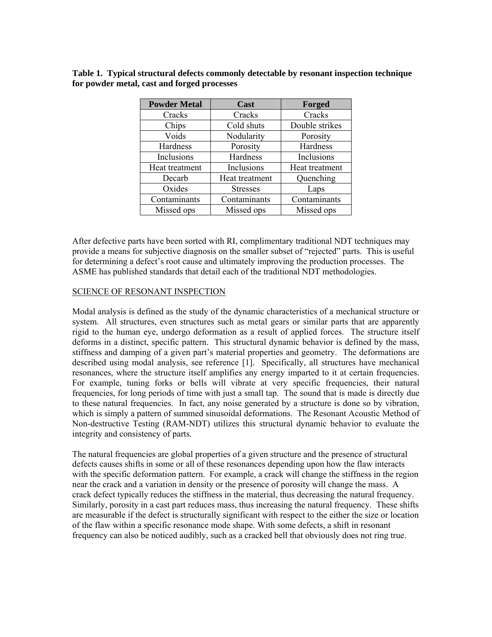| <b>Powder Metal</b> | Cast            | Forged         |
|---------------------|-----------------|----------------|
| Cracks              | Cracks          | Cracks         |
| Chips               | Cold shuts      | Double strikes |
| Voids               | Nodularity      | Porosity       |
| Hardness            | Porosity        | Hardness       |
| Inclusions          | Hardness        | Inclusions     |
| Heat treatment      | Inclusions      | Heat treatment |
| Decarb              | Heat treatment  | Quenching      |
| Oxides              | <b>Stresses</b> | Laps           |
| Contaminants        | Contaminants    | Contaminants   |
| Missed ops          | Missed ops      | Missed ops     |

**Table 1. Typical structural defects commonly detectable by resonant inspection technique for powder metal, cast and forged processes** 

After defective parts have been sorted with RI, complimentary traditional NDT techniques may provide a means for subjective diagnosis on the smaller subset of "rejected" parts. This is useful for determining a defect's root cause and ultimately improving the production processes. The ASME has published standards that detail each of the traditional NDT methodologies.

#### SCIENCE OF RESONANT INSPECTION

Modal analysis is defined as the study of the dynamic characteristics of a mechanical structure or system. All structures, even structures such as metal gears or similar parts that are apparently rigid to the human eye, undergo deformation as a result of applied forces. The structure itself deforms in a distinct, specific pattern. This structural dynamic behavior is defined by the mass, stiffness and damping of a given part's material properties and geometry. The deformations are described using modal analysis, see reference [1]. Specifically, all structures have mechanical resonances, where the structure itself amplifies any energy imparted to it at certain frequencies. For example, tuning forks or bells will vibrate at very specific frequencies, their natural frequencies, for long periods of time with just a small tap. The sound that is made is directly due to these natural frequencies. In fact, any noise generated by a structure is done so by vibration, which is simply a pattern of summed sinusoidal deformations. The Resonant Acoustic Method of Non-destructive Testing (RAM-NDT) utilizes this structural dynamic behavior to evaluate the integrity and consistency of parts.

The natural frequencies are global properties of a given structure and the presence of structural defects causes shifts in some or all of these resonances depending upon how the flaw interacts with the specific deformation pattern. For example, a crack will change the stiffness in the region near the crack and a variation in density or the presence of porosity will change the mass. A crack defect typically reduces the stiffness in the material, thus decreasing the natural frequency. Similarly, porosity in a cast part reduces mass, thus increasing the natural frequency. These shifts are measurable if the defect is structurally significant with respect to the either the size or location of the flaw within a specific resonance mode shape. With some defects, a shift in resonant frequency can also be noticed audibly, such as a cracked bell that obviously does not ring true.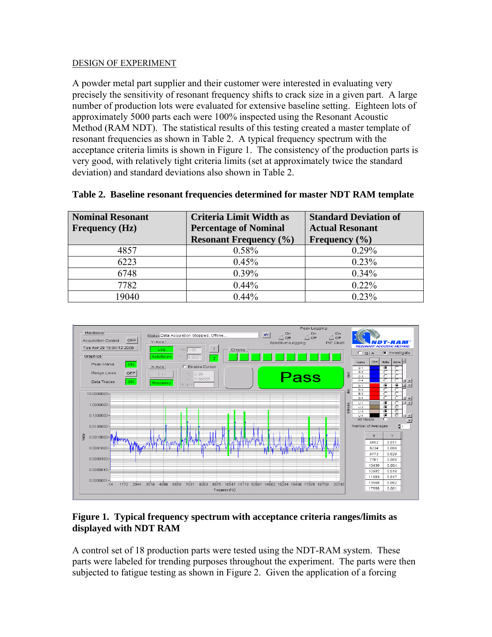#### DESIGN OF EXPERIMENT

A powder metal part supplier and their customer were interested in evaluating very precisely the sensitivity of resonant frequency shifts to crack size in a given part. A large number of production lots were evaluated for extensive baseline setting. Eighteen lots of approximately 5000 parts each were 100% inspected using the Resonant Acoustic Method (RAM NDT). The statistical results of this testing created a master template of resonant frequencies as shown in Table 2. A typical frequency spectrum with the acceptance criteria limits is shown in Figure 1. The consistency of the production parts is very good, with relatively tight criteria limits (set at approximately twice the standard deviation) and standard deviations also shown in Table 2.

| Table 2. Baseline resonant frequencies determined for master NDT RAM template |  |  |  |
|-------------------------------------------------------------------------------|--|--|--|
|                                                                               |  |  |  |

| <b>Nominal Resonant</b> | Criteria Limit Width as       | <b>Standard Deviation of</b> |
|-------------------------|-------------------------------|------------------------------|
| <b>Frequency (Hz)</b>   | <b>Percentage of Nominal</b>  | <b>Actual Resonant</b>       |
|                         | <b>Resonant Frequency (%)</b> | Frequency $(\% )$            |
| 4857                    | $0.58\%$                      | 0.29%                        |
| 6223                    | 0.45%                         | 0.23%                        |
| 6748                    | $0.39\%$                      | $0.34\%$                     |
| 7782                    | $0.44\%$                      | 0.22%                        |
| 19040                   | $0.44\%$                      | 0.23%                        |



## **Figure 1. Typical frequency spectrum with acceptance criteria ranges/limits as displayed with NDT RAM**

A control set of 18 production parts were tested using the NDT-RAM system. These parts were labeled for trending purposes throughout the experiment. The parts were then subjected to fatigue testing as shown in Figure 2. Given the application of a forcing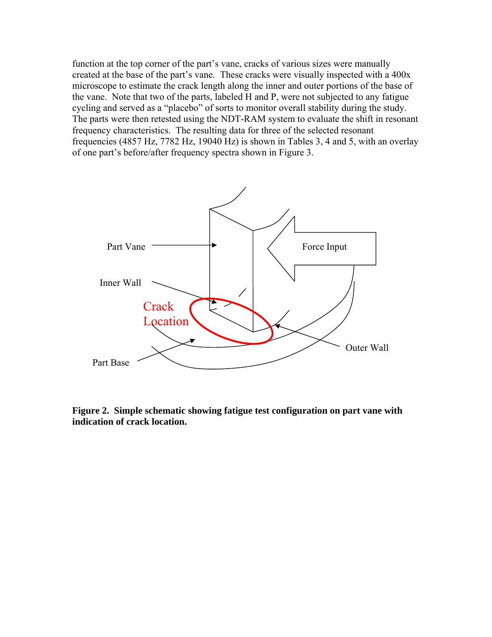function at the top corner of the part's vane, cracks of various sizes were manually created at the base of the part's vane. These cracks were visually inspected with a 400x microscope to estimate the crack length along the inner and outer portions of the base of the vane. Note that two of the parts, labeled H and P, were not subjected to any fatigue cycling and served as a "placebo" of sorts to monitor overall stability during the study. The parts were then retested using the NDT-RAM system to evaluate the shift in resonant frequency characteristics. The resulting data for three of the selected resonant frequencies (4857 Hz, 7782 Hz, 19040 Hz) is shown in Tables 3, 4 and 5, with an overlay of one part's before/after frequency spectra shown in Figure 3.



**Figure 2. Simple schematic showing fatigue test configuration on part vane with indication of crack location.**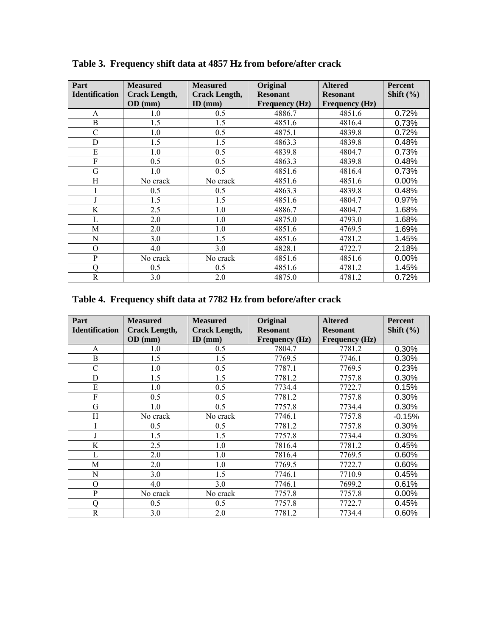| Part<br><b>Identification</b> | <b>Measured</b><br><b>Crack Length,</b><br>OD (mm) | <b>Measured</b><br><b>Crack Length,</b><br>$ID$ (mm) | Original<br><b>Resonant</b><br><b>Frequency (Hz)</b> | <b>Altered</b><br><b>Resonant</b><br><b>Frequency (Hz)</b> | <b>Percent</b><br>Shift $(\% )$ |
|-------------------------------|----------------------------------------------------|------------------------------------------------------|------------------------------------------------------|------------------------------------------------------------|---------------------------------|
| A                             | 1.0                                                | 0.5                                                  | 4886.7                                               | 4851.6                                                     | 0.72%                           |
| B                             | 1.5                                                | 1.5                                                  | 4851.6                                               | 4816.4                                                     | 0.73%                           |
| $\mathcal{C}$                 | 1.0                                                | 0.5                                                  | 4875.1                                               | 4839.8                                                     | 0.72%                           |
| D                             | 1.5                                                | 1.5                                                  | 4863.3                                               | 4839.8                                                     | 0.48%                           |
| ${\bf E}$                     | 1.0                                                | 0.5                                                  | 4839.8                                               | 4804.7                                                     | 0.73%                           |
| F                             | 0.5                                                | 0.5                                                  | 4863.3                                               | 4839.8                                                     | 0.48%                           |
| G                             | 1.0                                                | 0.5                                                  | 4851.6                                               | 4816.4                                                     | 0.73%                           |
| Η                             | No crack                                           | No crack                                             | 4851.6                                               | 4851.6                                                     | 0.00%                           |
| I                             | 0.5                                                | 0.5                                                  | 4863.3                                               | 4839.8                                                     | 0.48%                           |
|                               | 1.5                                                | 1.5                                                  | 4851.6                                               | 4804.7                                                     | 0.97%                           |
| K                             | 2.5                                                | 1.0                                                  | 4886.7                                               | 4804.7                                                     | 1.68%                           |
| L                             | 2.0                                                | 1.0                                                  | 4875.0                                               | 4793.0                                                     | 1.68%                           |
| M                             | 2.0                                                | 1.0                                                  | 4851.6                                               | 4769.5                                                     | 1.69%                           |
| N                             | 3.0                                                | 1.5                                                  | 4851.6                                               | 4781.2                                                     | 1.45%                           |
| $\Omega$                      | 4.0                                                | 3.0                                                  | 4828.1                                               | 4722.7                                                     | 2.18%                           |
| P                             | No crack                                           | No crack                                             | 4851.6                                               | 4851.6                                                     | 0.00%                           |
| O                             | 0.5                                                | 0.5                                                  | 4851.6                                               | 4781.2                                                     | 1.45%                           |
| R                             | 3.0                                                | 2.0                                                  | 4875.0                                               | 4781.2                                                     | 0.72%                           |

**Table 3. Frequency shift data at 4857 Hz from before/after crack** 

## **Table 4. Frequency shift data at 7782 Hz from before/after crack**

| Part<br><b>Identification</b> | <b>Measured</b><br><b>Crack Length,</b><br>OD (mm) | <b>Measured</b><br><b>Crack Length,</b><br>$ID$ (mm) | Original<br><b>Resonant</b><br><b>Frequency (Hz)</b> | <b>Altered</b><br><b>Resonant</b><br><b>Frequency (Hz)</b> | <b>Percent</b><br>Shift $(\% )$ |
|-------------------------------|----------------------------------------------------|------------------------------------------------------|------------------------------------------------------|------------------------------------------------------------|---------------------------------|
| A                             | 1.0                                                | 0.5                                                  | 7804.7                                               | 7781.2                                                     | 0.30%                           |
| B                             | 1.5                                                | 1.5                                                  | 7769.5                                               | 7746.1                                                     | 0.30%                           |
| $\mathcal{C}$                 | 1.0                                                | 0.5                                                  | 7787.1                                               | 7769.5                                                     | 0.23%                           |
| D                             | 1.5                                                | 1.5                                                  | 7781.2                                               | 7757.8                                                     | 0.30%                           |
| E                             | 1.0                                                | 0.5                                                  | 7734.4                                               | 7722.7                                                     | 0.15%                           |
| ${\rm F}$                     | 0.5                                                | 0.5                                                  | 7781.2                                               | 7757.8                                                     | 0.30%                           |
| G                             | 1.0                                                | 0.5                                                  | 7757.8                                               | 7734.4                                                     | 0.30%                           |
| H                             | No crack                                           | No crack                                             | 7746.1                                               | 7757.8                                                     | $-0.15%$                        |
|                               | 0.5                                                | 0.5                                                  | 7781.2                                               | 7757.8                                                     | 0.30%                           |
|                               | 1.5                                                | 1.5                                                  | 7757.8                                               | 7734.4                                                     | 0.30%                           |
| K                             | 2.5                                                | 1.0                                                  | 7816.4                                               | 7781.2                                                     | 0.45%                           |
| L                             | 2.0                                                | 1.0                                                  | 7816.4                                               | 7769.5                                                     | 0.60%                           |
| M                             | 2.0                                                | 1.0                                                  | 7769.5                                               | 7722.7                                                     | 0.60%                           |
| N                             | 3.0                                                | 1.5                                                  | 7746.1                                               | 7710.9                                                     | 0.45%                           |
| $\mathcal{O}$                 | 4.0                                                | 3.0                                                  | 7746.1                                               | 7699.2                                                     | 0.61%                           |
| $\mathbf{P}$                  | No crack                                           | No crack                                             | 7757.8                                               | 7757.8                                                     | 0.00%                           |
| $\Omega$                      | 0.5                                                | 0.5                                                  | 7757.8                                               | 7722.7                                                     | 0.45%                           |
| $\mathbb{R}$                  | 3.0                                                | $2.0$                                                | 7781.2                                               | 7734.4                                                     | 0.60%                           |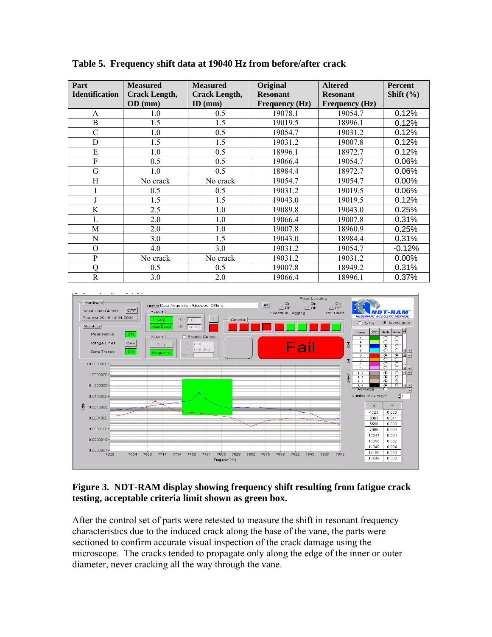| Part<br><b>Identification</b> | <b>Measured</b><br><b>Crack Length,</b> | <b>Measured</b><br><b>Crack Length,</b> | <b>Original</b><br><b>Resonant</b> | <b>Altered</b><br><b>Resonant</b> | <b>Percent</b><br>Shift $(\% )$ |
|-------------------------------|-----------------------------------------|-----------------------------------------|------------------------------------|-----------------------------------|---------------------------------|
|                               | OD (mm)                                 | $ID$ (mm)                               | <b>Frequency (Hz)</b>              | <b>Frequency (Hz)</b>             |                                 |
| A                             | 1.0                                     | 0.5                                     | 19078.1                            | 19054.7                           | 0.12%                           |
| $\boldsymbol{B}$              | 1.5                                     | 1.5                                     | 19019.5                            | 18996.1                           | 0.12%                           |
| C                             | 1.0                                     | 0.5                                     | 19054.7                            | 19031.2                           | 0.12%                           |
| D                             | 1.5                                     | 1.5                                     | 19031.2                            | 19007.8                           | 0.12%                           |
| E                             | 1.0                                     | 0.5                                     | 18996.1                            | 18972.7                           | 0.12%                           |
| ${\bf F}$                     | 0.5                                     | 0.5                                     | 19066.4                            | 19054.7                           | 0.06%                           |
| G                             | 1.0                                     | 0.5                                     | 18984.4                            | 18972.7                           | 0.06%                           |
| Η                             | No crack                                | No crack                                | 19054.7                            | 19054.7                           | $0.00\%$                        |
| T                             | 0.5                                     | 0.5                                     | 19031.2                            | 19019.5                           | 0.06%                           |
|                               | 1.5                                     | 1.5                                     | 19043.0                            | 19019.5                           | 0.12%                           |
| K                             | 2.5                                     | 1.0                                     | 19089.8                            | 19043.0                           | 0.25%                           |
| $\mathbf{L}$                  | 2.0                                     | 1.0                                     | 19066.4                            | 19007.8                           | 0.31%                           |
| M                             | 2.0                                     | 1.0                                     | 19007.8                            | 18960.9                           | 0.25%                           |
| N                             | 3.0                                     | 1.5                                     | 19043.0                            | 18984.4                           | 0.31%                           |
| $\Omega$                      | 4.0                                     | 3.0                                     | 19031.2                            | 19054.7                           | $-0.12%$                        |
| ${\bf P}$                     | No crack                                | No crack                                | 19031.2                            | 19031.2                           | 0.00%                           |
| O                             | 0.5                                     | 0.5                                     | 19007.8                            | 18949.2                           | 0.31%                           |
| $\mathbb{R}$                  | 3.0                                     | 2.0                                     | 19066.4                            | 18996.1                           | 0.37%                           |

**Table 5. Frequency shift data at 19040 Hz from before/after crack** 



## **Figure 3. NDT-RAM display showing frequency shift resulting from fatigue crack testing, acceptable criteria limit shown as green box.**

After the control set of parts were retested to measure the shift in resonant frequency characteristics due to the induced crack along the base of the vane, the parts were sectioned to confirm accurate visual inspection of the crack damage using the microscope. The cracks tended to propagate only along the edge of the inner or outer diameter, never cracking all the way through the vane.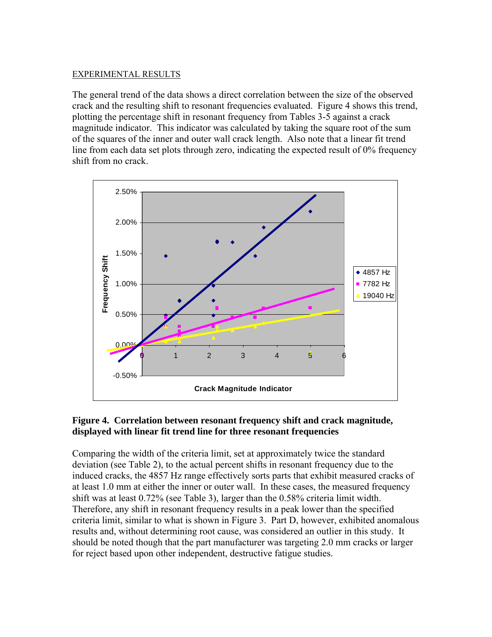## EXPERIMENTAL RESULTS

The general trend of the data shows a direct correlation between the size of the observed crack and the resulting shift to resonant frequencies evaluated. Figure 4 shows this trend, plotting the percentage shift in resonant frequency from Tables 3-5 against a crack magnitude indicator. This indicator was calculated by taking the square root of the sum of the squares of the inner and outer wall crack length. Also note that a linear fit trend line from each data set plots through zero, indicating the expected result of 0% frequency shift from no crack.



## **Figure 4. Correlation between resonant frequency shift and crack magnitude, displayed with linear fit trend line for three resonant frequencies**

Comparing the width of the criteria limit, set at approximately twice the standard deviation (see Table 2), to the actual percent shifts in resonant frequency due to the induced cracks, the 4857 Hz range effectively sorts parts that exhibit measured cracks of at least 1.0 mm at either the inner or outer wall. In these cases, the measured frequency shift was at least 0.72% (see Table 3), larger than the 0.58% criteria limit width. Therefore, any shift in resonant frequency results in a peak lower than the specified criteria limit, similar to what is shown in Figure 3. Part D, however, exhibited anomalous results and, without determining root cause, was considered an outlier in this study. It should be noted though that the part manufacturer was targeting 2.0 mm cracks or larger for reject based upon other independent, destructive fatigue studies.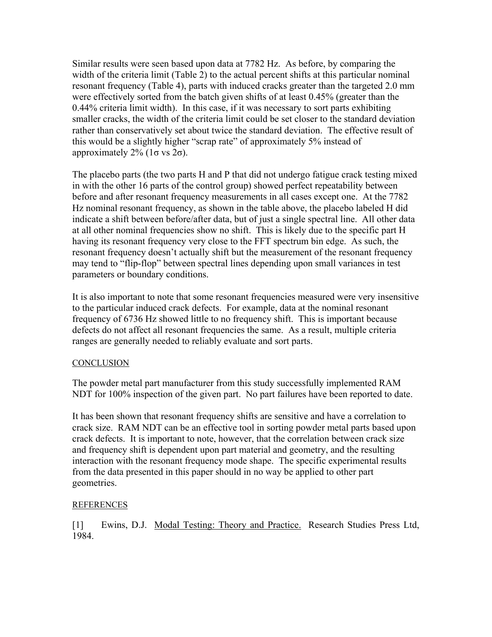Similar results were seen based upon data at 7782 Hz. As before, by comparing the width of the criteria limit (Table 2) to the actual percent shifts at this particular nominal resonant frequency (Table 4), parts with induced cracks greater than the targeted 2.0 mm were effectively sorted from the batch given shifts of at least 0.45% (greater than the 0.44% criteria limit width). In this case, if it was necessary to sort parts exhibiting smaller cracks, the width of the criteria limit could be set closer to the standard deviation rather than conservatively set about twice the standard deviation. The effective result of this would be a slightly higher "scrap rate" of approximately 5% instead of approximately 2% (1σ vs 2σ).

The placebo parts (the two parts H and P that did not undergo fatigue crack testing mixed in with the other 16 parts of the control group) showed perfect repeatability between before and after resonant frequency measurements in all cases except one. At the 7782 Hz nominal resonant frequency, as shown in the table above, the placebo labeled H did indicate a shift between before/after data, but of just a single spectral line. All other data at all other nominal frequencies show no shift. This is likely due to the specific part H having its resonant frequency very close to the FFT spectrum bin edge. As such, the resonant frequency doesn't actually shift but the measurement of the resonant frequency may tend to "flip-flop" between spectral lines depending upon small variances in test parameters or boundary conditions.

It is also important to note that some resonant frequencies measured were very insensitive to the particular induced crack defects. For example, data at the nominal resonant frequency of 6736 Hz showed little to no frequency shift. This is important because defects do not affect all resonant frequencies the same. As a result, multiple criteria ranges are generally needed to reliably evaluate and sort parts.

## **CONCLUSION**

The powder metal part manufacturer from this study successfully implemented RAM NDT for 100% inspection of the given part. No part failures have been reported to date.

It has been shown that resonant frequency shifts are sensitive and have a correlation to crack size. RAM NDT can be an effective tool in sorting powder metal parts based upon crack defects. It is important to note, however, that the correlation between crack size and frequency shift is dependent upon part material and geometry, and the resulting interaction with the resonant frequency mode shape. The specific experimental results from the data presented in this paper should in no way be applied to other part geometries.

## REFERENCES

[1] Ewins, D.J. Modal Testing: Theory and Practice. Research Studies Press Ltd, 1984.